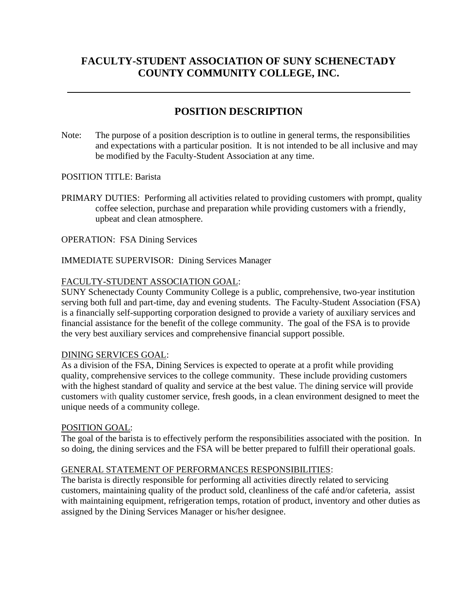# **FACULTY-STUDENT ASSOCIATION OF SUNY SCHENECTADY COUNTY COMMUNITY COLLEGE, INC.**

# **POSITION DESCRIPTION**

Note: The purpose of a position description is to outline in general terms, the responsibilities and expectations with a particular position. It is not intended to be all inclusive and may be modified by the Faculty-Student Association at any time.

POSITION TITLE: Barista

PRIMARY DUTIES: Performing all activities related to providing customers with prompt, quality coffee selection, purchase and preparation while providing customers with a friendly, upbeat and clean atmosphere.

OPERATION: FSA Dining Services

# IMMEDIATE SUPERVISOR: Dining Services Manager

# FACULTY-STUDENT ASSOCIATION GOAL:

SUNY Schenectady County Community College is a public, comprehensive, two-year institution serving both full and part-time, day and evening students. The Faculty-Student Association (FSA) is a financially self-supporting corporation designed to provide a variety of auxiliary services and financial assistance for the benefit of the college community. The goal of the FSA is to provide the very best auxiliary services and comprehensive financial support possible.

# DINING SERVICES GOAL:

As a division of the FSA, Dining Services is expected to operate at a profit while providing quality, comprehensive services to the college community. These include providing customers with the highest standard of quality and service at the best value. The dining service will provide customers with quality customer service, fresh goods, in a clean environment designed to meet the unique needs of a community college.

# POSITION GOAL:

The goal of the barista is to effectively perform the responsibilities associated with the position. In so doing, the dining services and the FSA will be better prepared to fulfill their operational goals.

# GENERAL STATEMENT OF PERFORMANCES RESPONSIBILITIES:

The barista is directly responsible for performing all activities directly related to servicing customers, maintaining quality of the product sold, cleanliness of the café and/or cafeteria, assist with maintaining equipment, refrigeration temps, rotation of product, inventory and other duties as assigned by the Dining Services Manager or his/her designee.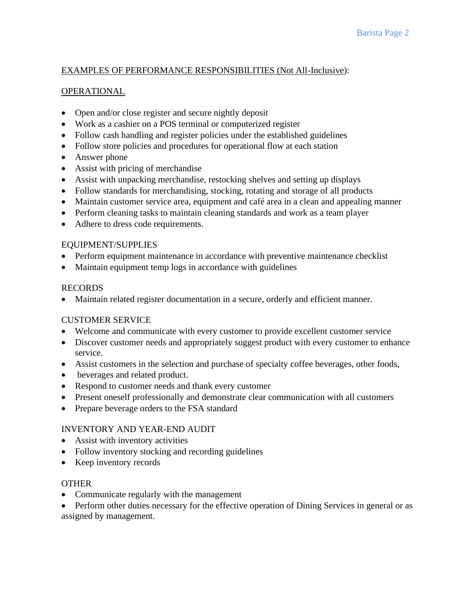# EXAMPLES OF PERFORMANCE RESPONSIBILITIES (Not All-Inclusive):

# OPERATIONAL

- Open and/or close register and secure nightly deposit
- Work as a cashier on a POS terminal or computerized register
- Follow cash handling and register policies under the established guidelines
- Follow store policies and procedures for operational flow at each station
- Answer phone
- Assist with pricing of merchandise
- Assist with unpacking merchandise, restocking shelves and setting up displays
- Follow standards for merchandising, stocking, rotating and storage of all products
- Maintain customer service area, equipment and café area in a clean and appealing manner
- Perform cleaning tasks to maintain cleaning standards and work as a team player
- Adhere to dress code requirements.

# EQUIPMENT/SUPPLIES

- Perform equipment maintenance in accordance with preventive maintenance checklist
- Maintain equipment temp logs in accordance with guidelines

# RECORDS

• Maintain related register documentation in a secure, orderly and efficient manner.

# CUSTOMER SERVICE

- Welcome and communicate with every customer to provide excellent customer service
- Discover customer needs and appropriately suggest product with every customer to enhance service.
- Assist customers in the selection and purchase of specialty coffee beverages, other foods,
- beverages and related product.
- Respond to customer needs and thank every customer
- Present oneself professionally and demonstrate clear communication with all customers
- Prepare beverage orders to the FSA standard

# INVENTORY AND YEAR-END AUDIT

- Assist with inventory activities
- Follow inventory stocking and recording guidelines
- Keep inventory records

# **OTHER**

• Communicate regularly with the management

• Perform other duties necessary for the effective operation of Dining Services in general or as assigned by management.